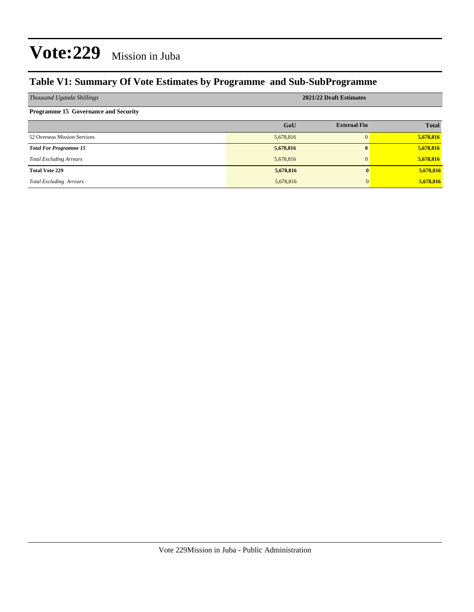### **Table V1: Summary Of Vote Estimates by Programme and Sub-SubProgramme**

| Thousand Uganda Shillings                   | 2021/22 Draft Estimates |                     |              |  |  |  |  |  |
|---------------------------------------------|-------------------------|---------------------|--------------|--|--|--|--|--|
| <b>Programme 15 Governance and Security</b> |                         |                     |              |  |  |  |  |  |
|                                             | GoU                     | <b>External Fin</b> | <b>Total</b> |  |  |  |  |  |
| 52 Overseas Mission Services                | 5,678,816               | $\Omega$            | 5,678,816    |  |  |  |  |  |
| <b>Total For Programme 15</b>               | 5,678,816               | $\mathbf{0}$        | 5,678,816    |  |  |  |  |  |
| <b>Total Excluding Arrears</b>              | 5,678,816               | $\Omega$            | 5,678,816    |  |  |  |  |  |
| <b>Total Vote 229</b>                       | 5,678,816               |                     | 5,678,816    |  |  |  |  |  |
| <b>Total Excluding Arrears</b>              | 5,678,816               |                     | 5,678,816    |  |  |  |  |  |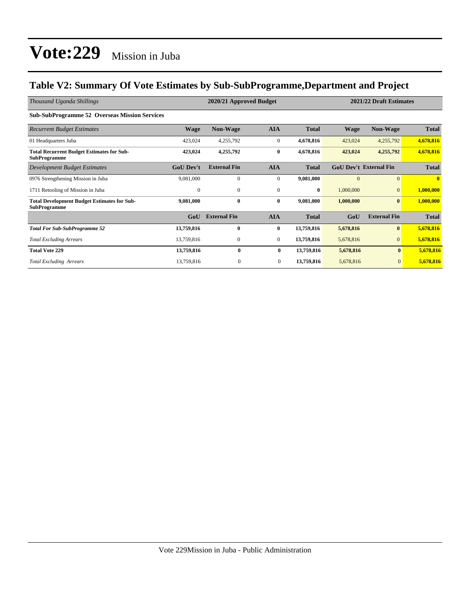### **Table V2: Summary Of Vote Estimates by Sub-SubProgramme,Department and Project**

| Thousand Uganda Shillings                                                 | 2021/22 Draft Estimates<br>2020/21 Approved Budget |                     |                  |              |             |                               |              |
|---------------------------------------------------------------------------|----------------------------------------------------|---------------------|------------------|--------------|-------------|-------------------------------|--------------|
| <b>Sub-SubProgramme 52 Overseas Mission Services</b>                      |                                                    |                     |                  |              |             |                               |              |
| <b>Recurrent Budget Estimates</b>                                         | <b>Wage</b>                                        | <b>Non-Wage</b>     | <b>AIA</b>       | <b>Total</b> | <b>Wage</b> | <b>Non-Wage</b>               | <b>Total</b> |
| 01 Headquarters Juba                                                      | 423,024                                            | 4,255,792           | $\mathbf{0}$     | 4,678,816    | 423,024     | 4,255,792                     | 4,678,816    |
| <b>Total Recurrent Budget Estimates for Sub-</b><br><b>SubProgramme</b>   | 423,024                                            | 4,255,792           | $\bf{0}$         | 4,678,816    | 423,024     | 4,255,792                     | 4,678,816    |
| Development Budget Estimates                                              | <b>GoU Dev't</b>                                   | <b>External Fin</b> | <b>AIA</b>       | <b>Total</b> |             | <b>GoU Dev't External Fin</b> | <b>Total</b> |
| 0976 Strengthening Mission in Juba                                        | 9,081,000                                          | $\mathbf{0}$        | $\boldsymbol{0}$ | 9,081,000    | $\Omega$    | $\mathbf{0}$                  | $\mathbf{0}$ |
| 1711 Retooling of Mission in Juba                                         | $\mathbf{0}$                                       | $\mathbf{0}$        | $\mathbf{0}$     | $\bf{0}$     | 1,000,000   | $\Omega$                      | 1,000,000    |
| <b>Total Development Budget Estimates for Sub-</b><br><b>SubProgramme</b> | 9,081,000                                          | $\bf{0}$            | $\bf{0}$         | 9,081,000    | 1,000,000   | $\mathbf{0}$                  | 1,000,000    |
|                                                                           | GoU                                                | <b>External Fin</b> | <b>AIA</b>       | <b>Total</b> | GoU         | <b>External Fin</b>           | <b>Total</b> |
| <b>Total For Sub-SubProgramme 52</b>                                      | 13,759,816                                         | $\bf{0}$            | $\bf{0}$         | 13,759,816   | 5,678,816   | $\bf{0}$                      | 5,678,816    |
| <b>Total Excluding Arrears</b>                                            | 13,759,816                                         | 0                   | $\mathbf{0}$     | 13,759,816   | 5,678,816   | $\overline{0}$                | 5,678,816    |
| <b>Total Vote 229</b>                                                     | 13,759,816                                         | $\bf{0}$            | $\bf{0}$         | 13,759,816   | 5,678,816   | $\bf{0}$                      | 5,678,816    |
| <b>Total Excluding Arrears</b>                                            | 13,759,816                                         | $\mathbf{0}$        | $\mathbf{0}$     | 13,759,816   | 5,678,816   | $\mathbf{0}$                  | 5,678,816    |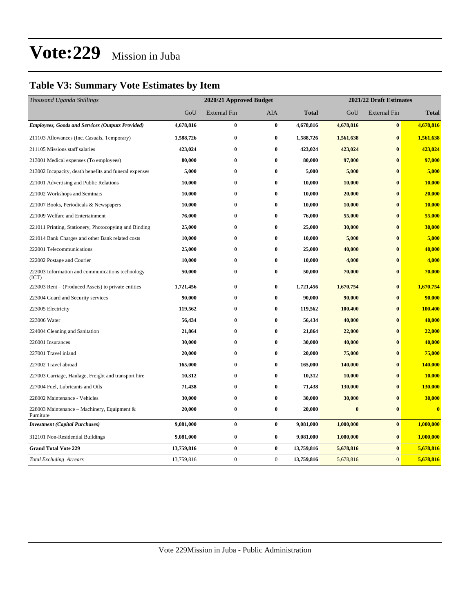### **Table V3: Summary Vote Estimates by Item**

| Thousand Uganda Shillings                                 |            | 2020/21 Approved Budget |              |              | 2021/22 Draft Estimates |                     |                         |  |
|-----------------------------------------------------------|------------|-------------------------|--------------|--------------|-------------------------|---------------------|-------------------------|--|
|                                                           | GoU        | <b>External Fin</b>     | AIA          | <b>Total</b> | GoU                     | <b>External Fin</b> | <b>Total</b>            |  |
| <b>Employees, Goods and Services (Outputs Provided)</b>   | 4,678,816  | $\bf{0}$                | $\bf{0}$     | 4,678,816    | 4,678,816               | $\bf{0}$            | 4,678,816               |  |
| 211103 Allowances (Inc. Casuals, Temporary)               | 1,588,726  | $\bf{0}$                | $\bf{0}$     | 1,588,726    | 1,561,638               | $\bf{0}$            | 1,561,638               |  |
| 211105 Missions staff salaries                            | 423,024    | $\bf{0}$                | $\bf{0}$     | 423,024      | 423,024                 | $\bf{0}$            | 423,024                 |  |
| 213001 Medical expenses (To employees)                    | 80,000     | $\bf{0}$                | $\bf{0}$     | 80,000       | 97,000                  | $\mathbf{0}$        | 97,000                  |  |
| 213002 Incapacity, death benefits and funeral expenses    | 5,000      | $\bf{0}$                | $\bf{0}$     | 5,000        | 5,000                   | $\bf{0}$            | 5,000                   |  |
| 221001 Advertising and Public Relations                   | 10,000     | $\bf{0}$                | $\bf{0}$     | 10,000       | 10,000                  | $\bf{0}$            | 10,000                  |  |
| 221002 Workshops and Seminars                             | 10,000     | $\bf{0}$                | $\bf{0}$     | 10,000       | 20,000                  | $\bf{0}$            | 20,000                  |  |
| 221007 Books, Periodicals & Newspapers                    | 10,000     | $\bf{0}$                | $\bf{0}$     | 10,000       | 10,000                  | $\bf{0}$            | 10,000                  |  |
| 221009 Welfare and Entertainment                          | 76,000     | $\bf{0}$                | $\bf{0}$     | 76,000       | 55,000                  | $\bf{0}$            | 55,000                  |  |
| 221011 Printing, Stationery, Photocopying and Binding     | 25,000     | $\bf{0}$                | $\bf{0}$     | 25,000       | 30,000                  | $\bf{0}$            | 30,000                  |  |
| 221014 Bank Charges and other Bank related costs          | 10,000     | $\bf{0}$                | $\bf{0}$     | 10,000       | 5,000                   | $\bf{0}$            | 5,000                   |  |
| 222001 Telecommunications                                 | 25,000     | $\bf{0}$                | $\bf{0}$     | 25,000       | 40,000                  | $\bf{0}$            | 40,000                  |  |
| 222002 Postage and Courier                                | 10,000     | $\bf{0}$                | $\bf{0}$     | 10,000       | 4,000                   | $\bf{0}$            | 4,000                   |  |
| 222003 Information and communications technology<br>(ICT) | 50,000     | $\bf{0}$                | $\bf{0}$     | 50,000       | 70,000                  | $\bf{0}$            | 70,000                  |  |
| 223003 Rent – (Produced Assets) to private entities       | 1,721,456  | $\bf{0}$                | $\bf{0}$     | 1,721,456    | 1,670,754               | $\bf{0}$            | 1,670,754               |  |
| 223004 Guard and Security services                        | 90,000     | $\bf{0}$                | $\bf{0}$     | 90,000       | 90,000                  | $\bf{0}$            | 90,000                  |  |
| 223005 Electricity                                        | 119,562    | $\bf{0}$                | $\bf{0}$     | 119,562      | 100,400                 | $\bf{0}$            | 100,400                 |  |
| 223006 Water                                              | 56,434     | $\bf{0}$                | $\bf{0}$     | 56,434       | 40,000                  | $\bf{0}$            | 40,000                  |  |
| 224004 Cleaning and Sanitation                            | 21,864     | $\bf{0}$                | $\bf{0}$     | 21,864       | 22,000                  | $\bf{0}$            | 22,000                  |  |
| 226001 Insurances                                         | 30,000     | $\bf{0}$                | $\bf{0}$     | 30,000       | 40,000                  | $\bf{0}$            | 40,000                  |  |
| 227001 Travel inland                                      | 20,000     | $\bf{0}$                | $\bf{0}$     | 20,000       | 75,000                  | $\bf{0}$            | 75,000                  |  |
| 227002 Travel abroad                                      | 165,000    | $\bf{0}$                | $\bf{0}$     | 165,000      | 140,000                 | $\bf{0}$            | 140,000                 |  |
| 227003 Carriage, Haulage, Freight and transport hire      | 10,312     | $\bf{0}$                | $\bf{0}$     | 10,312       | 10,000                  | $\bf{0}$            | 10,000                  |  |
| 227004 Fuel, Lubricants and Oils                          | 71,438     | $\bf{0}$                | $\bf{0}$     | 71,438       | 130,000                 | $\bf{0}$            | 130,000                 |  |
| 228002 Maintenance - Vehicles                             | 30,000     | $\bf{0}$                | $\bf{0}$     | 30,000       | 30,000                  | $\bf{0}$            | 30,000                  |  |
| 228003 Maintenance - Machinery, Equipment &<br>Furniture  | 20,000     | $\bf{0}$                | $\bf{0}$     | 20,000       | $\bf{0}$                | $\bf{0}$            | $\overline{\mathbf{0}}$ |  |
| <b>Investment (Capital Purchases)</b>                     | 9,081,000  | $\bf{0}$                | $\bf{0}$     | 9,081,000    | 1,000,000               | $\bf{0}$            | 1,000,000               |  |
| 312101 Non-Residential Buildings                          | 9,081,000  | $\bf{0}$                | $\bf{0}$     | 9,081,000    | 1,000,000               | $\bf{0}$            | 1,000,000               |  |
| <b>Grand Total Vote 229</b>                               | 13,759,816 | $\bf{0}$                | $\bf{0}$     | 13,759,816   | 5,678,816               | $\bf{0}$            | 5,678,816               |  |
| <b>Total Excluding Arrears</b>                            | 13,759,816 | $\boldsymbol{0}$        | $\mathbf{0}$ | 13,759,816   | 5,678,816               | $\overline{0}$      | 5,678,816               |  |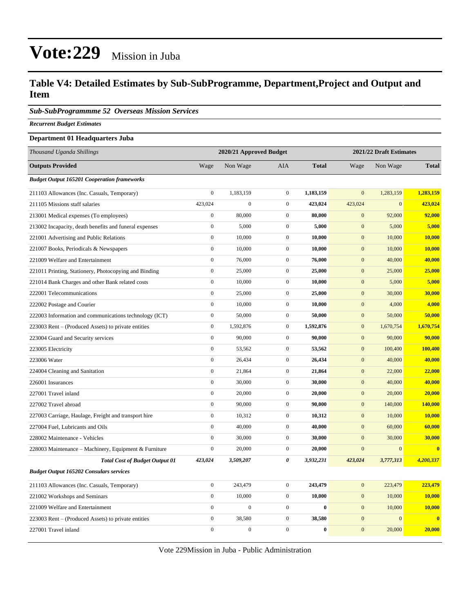### **Table V4: Detailed Estimates by Sub-SubProgramme, Department,Project and Output and Item**

*Sub-SubProgrammme 52 Overseas Mission Services*

*Recurrent Budget Estimates*

#### **Department 01 Headquarters Juba**

| Thousand Uganda Shillings                              |                  | 2020/21 Approved Budget |                  |              | 2021/22 Draft Estimates |                |                         |
|--------------------------------------------------------|------------------|-------------------------|------------------|--------------|-------------------------|----------------|-------------------------|
| <b>Outputs Provided</b>                                | Wage             | Non Wage                | AIA              | <b>Total</b> | Wage                    | Non Wage       | <b>Total</b>            |
| <b>Budget Output 165201 Cooperation frameworks</b>     |                  |                         |                  |              |                         |                |                         |
| 211103 Allowances (Inc. Casuals, Temporary)            | $\boldsymbol{0}$ | 1,183,159               | $\mathbf{0}$     | 1,183,159    | $\mathbf{0}$            | 1,283,159      | 1,283,159               |
| 211105 Missions staff salaries                         | 423,024          | $\boldsymbol{0}$        | $\mathbf{0}$     | 423,024      | 423,024                 | $\mathbf{0}$   | 423,024                 |
| 213001 Medical expenses (To employees)                 | $\overline{0}$   | 80,000                  | $\mathbf{0}$     | 80,000       | $\mathbf{0}$            | 92,000         | 92,000                  |
| 213002 Incapacity, death benefits and funeral expenses | $\boldsymbol{0}$ | 5,000                   | $\mathbf{0}$     | 5,000        | $\mathbf{0}$            | 5,000          | 5,000                   |
| 221001 Advertising and Public Relations                | $\mathbf{0}$     | 10,000                  | $\overline{0}$   | 10,000       | $\boldsymbol{0}$        | 10,000         | 10,000                  |
| 221007 Books, Periodicals & Newspapers                 | $\boldsymbol{0}$ | 10,000                  | $\boldsymbol{0}$ | 10,000       | $\mathbf{0}$            | 10,000         | 10,000                  |
| 221009 Welfare and Entertainment                       | $\boldsymbol{0}$ | 76,000                  | $\mathbf{0}$     | 76,000       | $\mathbf{0}$            | 40,000         | 40,000                  |
| 221011 Printing, Stationery, Photocopying and Binding  | $\mathbf{0}$     | 25,000                  | $\boldsymbol{0}$ | 25,000       | $\boldsymbol{0}$        | 25,000         | 25,000                  |
| 221014 Bank Charges and other Bank related costs       | $\boldsymbol{0}$ | 10,000                  | $\mathbf 0$      | 10,000       | $\mathbf{0}$            | 5,000          | 5,000                   |
| 222001 Telecommunications                              | $\boldsymbol{0}$ | 25,000                  | $\mathbf{0}$     | 25,000       | $\boldsymbol{0}$        | 30,000         | 30,000                  |
| 222002 Postage and Courier                             | $\boldsymbol{0}$ | 10,000                  | $\boldsymbol{0}$ | 10,000       | $\boldsymbol{0}$        | 4,000          | 4,000                   |
| 222003 Information and communications technology (ICT) | $\boldsymbol{0}$ | 50,000                  | $\mathbf{0}$     | 50,000       | $\mathbf{0}$            | 50,000         | 50,000                  |
| 223003 Rent – (Produced Assets) to private entities    | $\boldsymbol{0}$ | 1,592,876               | $\boldsymbol{0}$ | 1,592,876    | $\mathbf{0}$            | 1,670,754      | 1,670,754               |
| 223004 Guard and Security services                     | $\boldsymbol{0}$ | 90,000                  | $\boldsymbol{0}$ | 90,000       | $\boldsymbol{0}$        | 90,000         | 90,000                  |
| 223005 Electricity                                     | $\boldsymbol{0}$ | 53,562                  | $\mathbf 0$      | 53,562       | $\mathbf{0}$            | 100,400        | 100,400                 |
| 223006 Water                                           | $\boldsymbol{0}$ | 26,434                  | $\mathbf{0}$     | 26,434       | $\mathbf{0}$            | 40,000         | 40,000                  |
| 224004 Cleaning and Sanitation                         | $\boldsymbol{0}$ | 21,864                  | $\mathbf{0}$     | 21,864       | $\boldsymbol{0}$        | 22,000         | 22,000                  |
| 226001 Insurances                                      | $\boldsymbol{0}$ | 30,000                  | $\mathbf{0}$     | 30,000       | $\mathbf{0}$            | 40,000         | 40,000                  |
| 227001 Travel inland                                   | $\boldsymbol{0}$ | 20,000                  | $\mathbf{0}$     | 20,000       | $\mathbf{0}$            | 20,000         | 20,000                  |
| 227002 Travel abroad                                   | $\mathbf{0}$     | 90,000                  | $\boldsymbol{0}$ | 90,000       | $\boldsymbol{0}$        | 140,000        | 140,000                 |
| 227003 Carriage, Haulage, Freight and transport hire   | $\overline{0}$   | 10,312                  | $\mathbf{0}$     | 10,312       | $\mathbf{0}$            | 10,000         | 10,000                  |
| 227004 Fuel, Lubricants and Oils                       | $\boldsymbol{0}$ | 40,000                  | $\mathbf{0}$     | 40,000       | $\mathbf{0}$            | 60,000         | 60,000                  |
| 228002 Maintenance - Vehicles                          | $\mathbf{0}$     | 30,000                  | $\boldsymbol{0}$ | 30,000       | $\boldsymbol{0}$        | 30,000         | 30,000                  |
| 228003 Maintenance - Machinery, Equipment & Furniture  | $\boldsymbol{0}$ | 20,000                  | $\mathbf{0}$     | 20,000       | $\mathbf{0}$            | $\overline{0}$ | $\overline{\mathbf{0}}$ |
| <b>Total Cost of Budget Output 01</b>                  | 423,024          | 3,509,207               | $\pmb{\theta}$   | 3,932,231    | 423,024                 | 3,777,313      | 4,200,337               |
| <b>Budget Output 165202 Consulars services</b>         |                  |                         |                  |              |                         |                |                         |
| 211103 Allowances (Inc. Casuals, Temporary)            | $\boldsymbol{0}$ | 243,479                 | $\boldsymbol{0}$ | 243,479      | $\boldsymbol{0}$        | 223,479        | 223,479                 |
| 221002 Workshops and Seminars                          | $\boldsymbol{0}$ | 10,000                  | $\mathbf{0}$     | 10,000       | $\mathbf{0}$            | 10,000         | 10,000                  |
| 221009 Welfare and Entertainment                       | $\boldsymbol{0}$ | $\boldsymbol{0}$        | $\boldsymbol{0}$ | $\bf{0}$     | $\boldsymbol{0}$        | 10,000         | 10,000                  |
| 223003 Rent – (Produced Assets) to private entities    | $\boldsymbol{0}$ | 38,580                  | $\mathbf{0}$     | 38,580       | $\mathbf{0}$            | $\overline{0}$ | $\bf{0}$                |
| 227001 Travel inland                                   | $\mathbf{0}$     | $\overline{0}$          | $\mathbf{0}$     | $\bf{0}$     | $\overline{0}$          | 20,000         | 20,000                  |

Vote 229Mission in Juba - Public Administration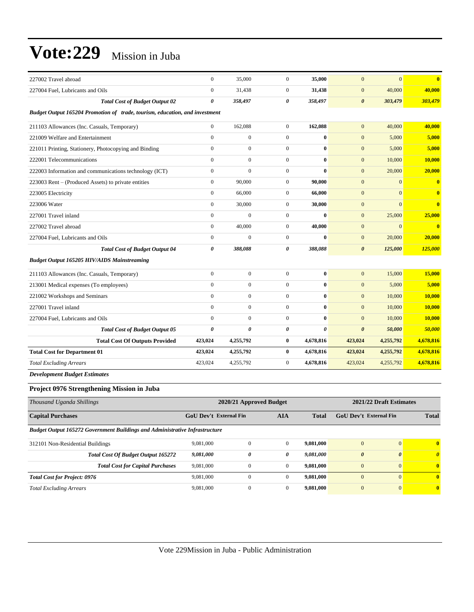| 227002 Travel abroad                                                        | $\overline{0}$        | 35,000           | $\mathbf{0}$   | 35,000                | $\mathbf{0}$          | $\mathbf{0}$ | $\mathbf{0}$            |  |  |  |
|-----------------------------------------------------------------------------|-----------------------|------------------|----------------|-----------------------|-----------------------|--------------|-------------------------|--|--|--|
| 227004 Fuel. Lubricants and Oils                                            | $\mathbf{0}$          | 31.438           | $\mathbf{0}$   | 31,438                | $\mathbf{0}$          | 40,000       | 40,000                  |  |  |  |
| <b>Total Cost of Budget Output 02</b>                                       | $\boldsymbol{\theta}$ | 358,497          | 0              | 358,497               | $\boldsymbol{\theta}$ | 303,479      | 303,479                 |  |  |  |
| Budget Output 165204 Promotion of trade, tourism, education, and investment |                       |                  |                |                       |                       |              |                         |  |  |  |
| 211103 Allowances (Inc. Casuals, Temporary)                                 | $\overline{0}$        | 162,088          | $\mathbf{0}$   | 162,088               | $\mathbf{0}$          | 40,000       | 40,000                  |  |  |  |
| 221009 Welfare and Entertainment                                            | $\mathbf{0}$          | $\boldsymbol{0}$ | $\mathbf{0}$   | $\bf{0}$              | $\mathbf{0}$          | 5,000        | 5,000                   |  |  |  |
| 221011 Printing, Stationery, Photocopying and Binding                       | $\Omega$              | $\mathbf{0}$     | $\mathbf{0}$   | $\bf{0}$              | $\mathbf{0}$          | 5,000        | 5,000                   |  |  |  |
| 222001 Telecommunications                                                   | $\mathbf{0}$          | $\boldsymbol{0}$ | $\mathbf{0}$   | $\bf{0}$              | $\mathbf{0}$          | 10,000       | 10,000                  |  |  |  |
| 222003 Information and communications technology (ICT)                      | $\mathbf{0}$          | $\mathbf{0}$     | $\mathbf{0}$   | $\bf{0}$              | $\mathbf{0}$          | 20,000       | 20,000                  |  |  |  |
| 223003 Rent – (Produced Assets) to private entities                         | $\mathbf{0}$          | 90,000           | $\mathbf{0}$   | 90,000                | $\mathbf{0}$          | $\mathbf{0}$ | $\bf{0}$                |  |  |  |
| 223005 Electricity                                                          | $\mathbf{0}$          | 66,000           | $\overline{0}$ | 66,000                | $\mathbf{0}$          | $\Omega$     | $\bf{0}$                |  |  |  |
| 223006 Water                                                                | $\mathbf{0}$          | 30,000           | $\mathbf{0}$   | 30,000                | $\mathbf{0}$          | $\mathbf{0}$ | $\overline{\mathbf{0}}$ |  |  |  |
| 227001 Travel inland                                                        | $\mathbf{0}$          | $\Omega$         | $\overline{0}$ | $\bf{0}$              | $\mathbf{0}$          | 25,000       | 25,000                  |  |  |  |
| 227002 Travel abroad                                                        | $\overline{0}$        | 40,000           | $\overline{0}$ | 40,000                | $\mathbf{0}$          | $\mathbf{0}$ | $\overline{\mathbf{0}}$ |  |  |  |
| 227004 Fuel, Lubricants and Oils                                            | $\mathbf{0}$          | $\mathbf{0}$     | $\overline{0}$ | $\mathbf{0}$          | $\mathbf{0}$          | 20,000       | 20,000                  |  |  |  |
| <b>Total Cost of Budget Output 04</b>                                       | 0                     | 388,088          | 0              | 388,088               | $\boldsymbol{\theta}$ | 125,000      | 125,000                 |  |  |  |
| <b>Budget Output 165205 HIV/AIDS Mainstreaming</b>                          |                       |                  |                |                       |                       |              |                         |  |  |  |
| 211103 Allowances (Inc. Casuals, Temporary)                                 | $\mathbf{0}$          | $\boldsymbol{0}$ | $\overline{0}$ | $\bf{0}$              | $\mathbf{0}$          | 15,000       | 15,000                  |  |  |  |
| 213001 Medical expenses (To employees)                                      | $\Omega$              | $\overline{0}$   | $\overline{0}$ | $\bf{0}$              | $\mathbf{0}$          | 5,000        | 5,000                   |  |  |  |
| 221002 Workshops and Seminars                                               | $\mathbf{0}$          | $\boldsymbol{0}$ | $\overline{0}$ | $\bf{0}$              | $\mathbf{0}$          | 10,000       | 10,000                  |  |  |  |
| 227001 Travel inland                                                        | $\mathbf{0}$          | $\overline{0}$   | $\overline{0}$ | $\bf{0}$              | $\mathbf{0}$          | 10,000       | 10,000                  |  |  |  |
| 227004 Fuel, Lubricants and Oils                                            | $\Omega$              | $\overline{0}$   | $\overline{0}$ | 0                     | $\mathbf{0}$          | 10,000       | 10,000                  |  |  |  |
| <b>Total Cost of Budget Output 05</b>                                       | $\pmb{\theta}$        | $\theta$         | 0              | $\boldsymbol{\theta}$ | $\boldsymbol{\theta}$ | 50,000       | 50,000                  |  |  |  |
| <b>Total Cost Of Outputs Provided</b>                                       | 423,024               | 4,255,792        | $\bf{0}$       | 4,678,816             | 423,024               | 4,255,792    | 4,678,816               |  |  |  |
| <b>Total Cost for Department 01</b>                                         | 423,024               | 4,255,792        | $\bf{0}$       | 4,678,816             | 423,024               | 4,255,792    | 4,678,816               |  |  |  |
| <b>Total Excluding Arrears</b>                                              | 423,024               | 4,255,792        | $\overline{0}$ | 4,678,816             | 423,024               | 4,255,792    | 4,678,816               |  |  |  |
| <b>Development Budget Estimates</b>                                         |                       |                  |                |                       |                       |              |                         |  |  |  |

#### **Project 0976 Strengthening Mission in Juba**

| Thousand Uganda Shillings                                                          | 2020/21 Approved Budget                                     | 2021/22 Draft Estimates |                |           |                               |          |                                  |
|------------------------------------------------------------------------------------|-------------------------------------------------------------|-------------------------|----------------|-----------|-------------------------------|----------|----------------------------------|
| <b>Capital Purchases</b>                                                           | <b>GoU</b> Dev't External Fin<br><b>AIA</b><br><b>Total</b> |                         |                |           | <b>GoU</b> Dev't External Fin |          |                                  |
| <b>Budget Output 165272 Government Buildings and Administrative Infrastructure</b> |                                                             |                         |                |           |                               |          |                                  |
| 312101 Non-Residential Buildings                                                   | 9.081.000                                                   | $\Omega$                | $\overline{0}$ | 9.081.000 | $\mathbf{0}$                  | $\Omega$ | $\mathbf{0}$                     |
| <b>Total Cost Of Budget Output 165272</b>                                          | 9,081,000                                                   | 0                       | 0              | 9,081,000 | $\boldsymbol{\theta}$         | $\theta$ | $\overline{\boldsymbol{\theta}}$ |
| <b>Total Cost for Capital Purchases</b>                                            | 9,081,000                                                   | $\mathbf{0}$            | $\overline{0}$ | 9.081.000 | $\overline{0}$                | $\Omega$ | $\mathbf{0}$                     |
| <b>Total Cost for Project: 0976</b>                                                | 9.081.000                                                   | $\Omega$                | $\overline{0}$ | 9.081.000 | $\Omega$                      | $\Omega$ | $\mathbf{0}$                     |
| <b>Total Excluding Arrears</b>                                                     | 9,081,000                                                   | $\Omega$                | $\overline{0}$ | 9.081.000 | $\mathbf{0}$                  | $\Omega$ | $\mathbf{0}$                     |